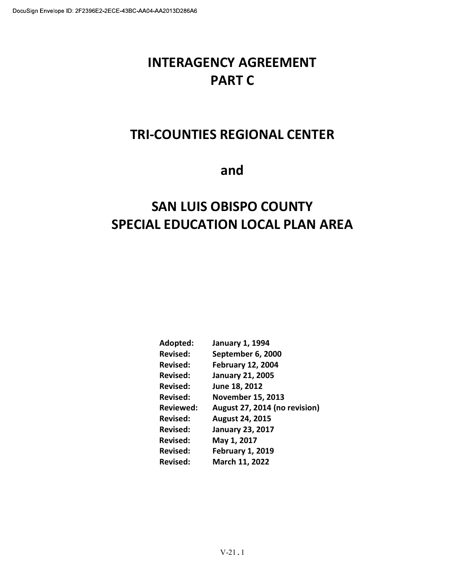# INTERAGENCY AGREEMENT PART C

# TRI-COUNTIES REGIONAL CENTER

and

# SAN LUIS OBISPO COUNTY SPECIAL EDUCATION LOCAL PLAN AREA

| Adopted:         | <b>January 1, 1994</b>        |
|------------------|-------------------------------|
| <b>Revised:</b>  | September 6, 2000             |
| <b>Revised:</b>  | <b>February 12, 2004</b>      |
| <b>Revised:</b>  | <b>January 21, 2005</b>       |
| <b>Revised:</b>  | June 18, 2012                 |
| <b>Revised:</b>  | <b>November 15, 2013</b>      |
| <b>Reviewed:</b> | August 27, 2014 (no revision) |
| <b>Revised:</b>  | August 24, 2015               |
| <b>Revised:</b>  | <b>January 23, 2017</b>       |
| Revised:         | May 1, 2017                   |
| <b>Revised:</b>  | <b>February 1, 2019</b>       |
| Revised:         | March 11, 2022                |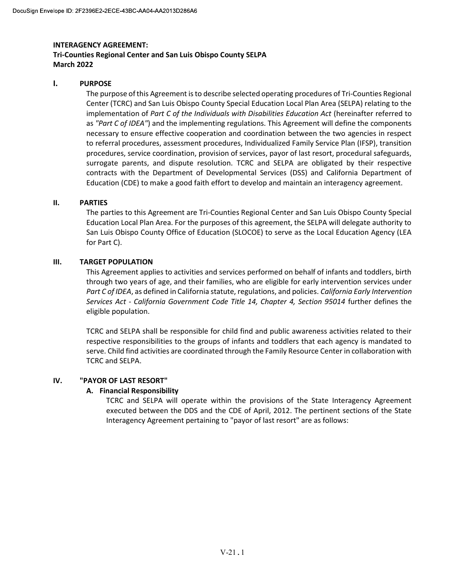# Tri-Counties Regional Center and San Luis Obispo County SELPA March 2022

## I. PURPOSE

The purpose of this Agreement is to describe selected operating procedures of Tri-Counties Regional Center (TCRC) and San Luis Obispo County Special Education Local Plan Area (SELPA) relating to the implementation of Part C of the Individuals with Disabilities Education Act (hereinafter referred to as "Part C of IDEA") and the implementing regulations. This Agreement will define the components necessary to ensure effective cooperation and coordination between the two agencies in respect to referral procedures, assessment procedures, Individualized Family Service Plan (IFSP), transition procedures, service coordination, provision of services, payor of last resort, procedural safeguards, surrogate parents, and dispute resolution. TCRC and SELPA are obligated by their respective contracts with the Department of Developmental Services (DSS) and California Department of Education (CDE) to make a good faith effort to develop and maintain an interagency agreement.

#### II. PARTIES

The parties to this Agreement are Tri-Counties Regional Center and San Luis Obispo County Special Education Local Plan Area. For the purposes of this agreement, the SELPA will delegate authority to San Luis Obispo County Office of Education (SLOCOE) to serve as the Local Education Agency (LEA for Part C).

#### III. TARGET POPULATION

This Agreement applies to activities and services performed on behalf of infants and toddlers, birth through two years of age, and their families, who are eligible for early intervention services under Part C of IDEA, as defined in California statute, regulations, and policies. California Early Intervention Services Act - California Government Code Title 14, Chapter 4, Section 95014 further defines the eligible population.

TCRC and SELPA shall be responsible for child find and public awareness activities related to their respective responsibilities to the groups of infants and toddlers that each agency is mandated to serve. Child find activities are coordinated through the Family Resource Center in collaboration with TCRC and SELPA.

#### IV. "PAYOR OF LAST RESORT"

## A. Financial Responsibility

TCRC and SELPA will operate within the provisions of the State Interagency Agreement executed between the DDS and the CDE of April, 2012. The pertinent sections of the State Interagency Agreement pertaining to "payor of last resort" are as follows: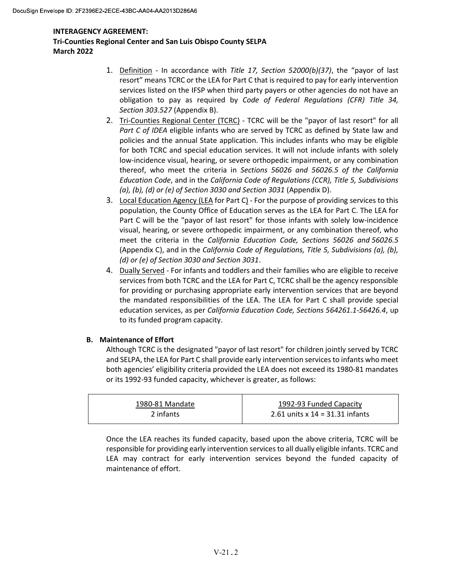# Tri-Counties Regional Center and San Luis Obispo County SELPA March 2022

- 1. Definition In accordance with Title 17, Section  $52000(b)(37)$ , the "payor of last resort" means TCRC or the LEA for Part C that is required to pay for early intervention services listed on the IFSP when third party payers or other agencies do not have an obligation to pay as required by Code of Federal Regulations (CFR) Title 34, Section 303.527 (Appendix B).
- 2. Tri-Counties Regional Center (TCRC) TCRC will be the "payor of last resort" for all Part C of IDEA eligible infants who are served by TCRC as defined by State law and policies and the annual State application. This includes infants who may be eligible for both TCRC and special education services. It will not include infants with solely low-incidence visual, hearing, or severe orthopedic impairment, or any combination thereof, who meet the criteria in Sections 56026 and 56026.5 of the California Education Code, and in the California Code of Regulations (CCR), Title 5, Subdivisions (a), (b), (d) or (e) of Section 3030 and Section 3031 (Appendix D).
- 3. Local Education Agency (LEA for Part C) For the purpose of providing services to this population, the County Office of Education serves as the LEA for Part C. The LEA for Part C will be the "payor of last resort" for those infants with solely low-incidence visual, hearing, or severe orthopedic impairment, or any combination thereof, who meet the criteria in the California Education Code, Sections 56026 and 56026.5 (Appendix C), and in the California Code of Regulations, Title 5, Subdivisions (a), (b), (d) or (e) of Section 3030 and Section 3031.
- 4. Dually Served For infants and toddlers and their families who are eligible to receive services from both TCRC and the LEA for Part C, TCRC shall be the agency responsible for providing or purchasing appropriate early intervention services that are beyond the mandated responsibilities of the LEA. The LEA for Part C shall provide special education services, as per California Education Code, Sections 564261.1-56426.4, up to its funded program capacity.

# B. Maintenance of Effort

Although TCRC is the designated "payor of last resort" for children jointly served by TCRC and SELPA, the LEA for Part C shall provide early intervention services to infants who meet both agencies' eligibility criteria provided the LEA does not exceed its 1980-81 mandates or its 1992-93 funded capacity, whichever is greater, as follows:

| 1980-81 Mandate | 1992-93 Funded Capacity           |
|-----------------|-----------------------------------|
| 2 infants       | 2.61 units x $14 = 31.31$ infants |

Once the LEA reaches its funded capacity, based upon the above criteria, TCRC will be responsible for providing early intervention services to all dually eligible infants. TCRC and LEA may contract for early intervention services beyond the funded capacity of maintenance of effort.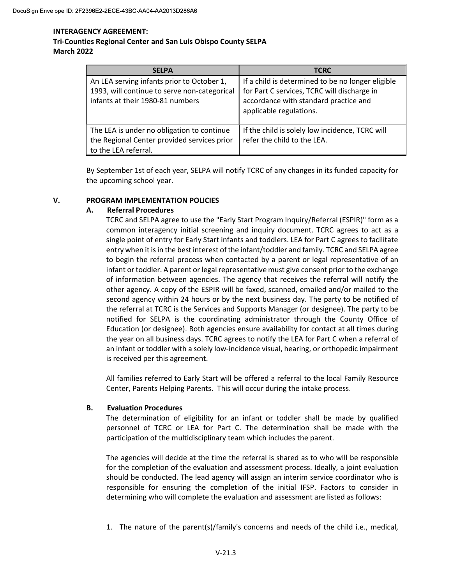## Tri-Counties Regional Center and San Luis Obispo County SELPA March 2022

| <b>SELPA</b>                                                                                                                   | <b>TCRC</b>                                                                                                                                                          |
|--------------------------------------------------------------------------------------------------------------------------------|----------------------------------------------------------------------------------------------------------------------------------------------------------------------|
| An LEA serving infants prior to October 1,<br>1993, will continue to serve non-categorical<br>infants at their 1980-81 numbers | If a child is determined to be no longer eligible<br>for Part C services, TCRC will discharge in<br>accordance with standard practice and<br>applicable regulations. |
| The LEA is under no obligation to continue<br>the Regional Center provided services prior<br>to the LEA referral.              | If the child is solely low incidence, TCRC will<br>refer the child to the LEA.                                                                                       |

By September 1st of each year, SELPA will notify TCRC of any changes in its funded capacity for the upcoming school year.

## V. PROGRAM IMPLEMENTATION POLICIES

## A. Referral Procedures

TCRC and SELPA agree to use the "Early Start Program Inquiry/Referral (ESPIR)" form as a common interagency initial screening and inquiry document. TCRC agrees to act as a single point of entry for Early Start infants and toddlers. LEA for Part C agrees to facilitate entry when it is in the best interest of the infant/toddler and family. TCRC and SELPA agree to begin the referral process when contacted by a parent or legal representative of an infant or toddler. A parent or legal representative must give consent prior to the exchange of information between agencies. The agency that receives the referral will notify the other agency. A copy of the ESPIR will be faxed, scanned, emailed and/or mailed to the second agency within 24 hours or by the next business day. The party to be notified of the referral at TCRC is the Services and Supports Manager (or designee). The party to be notified for SELPA is the coordinating administrator through the County Office of Education (or designee). Both agencies ensure availability for contact at all times during the year on all business days. TCRC agrees to notify the LEA for Part C when a referral of an infant or toddler with a solely low-incidence visual, hearing, or orthopedic impairment is received per this agreement.

All families referred to Early Start will be offered a referral to the local Family Resource Center, Parents Helping Parents. This will occur during the intake process.

## B. Evaluation Procedures

The determination of eligibility for an infant or toddler shall be made by qualified personnel of TCRC or LEA for Part C. The determination shall be made with the participation of the multidisciplinary team which includes the parent.

The agencies will decide at the time the referral is shared as to who will be responsible for the completion of the evaluation and assessment process. Ideally, a joint evaluation should be conducted. The lead agency will assign an interim service coordinator who is responsible for ensuring the completion of the initial IFSP. Factors to consider in determining who will complete the evaluation and assessment are listed as follows:

1. The nature of the parent(s)/family's concerns and needs of the child i.e., medical,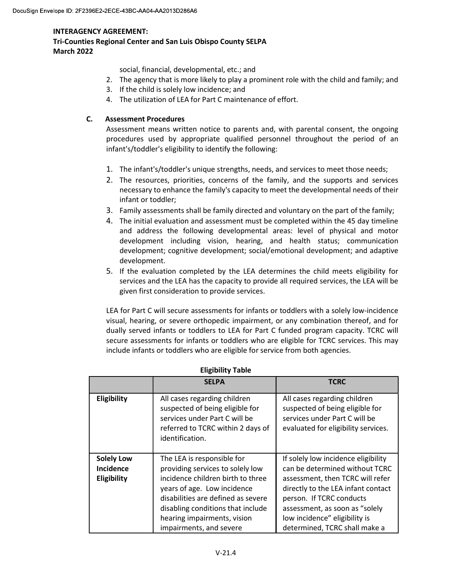Tri-Counties Regional Center and San Luis Obispo County SELPA March 2022

social, financial, developmental, etc.; and

- 2. The agency that is more likely to play a prominent role with the child and family; and
- 3. If the child is solely low incidence; and
- 4. The utilization of LEA for Part C maintenance of effort.

## C. Assessment Procedures

Assessment means written notice to parents and, with parental consent, the ongoing procedures used by appropriate qualified personnel throughout the period of an infant's/toddler's eligibility to identify the following:

- 1. The infant's/toddler's unique strengths, needs, and services to meet those needs;
- 2. The resources, priorities, concerns of the family, and the supports and services necessary to enhance the family's capacity to meet the developmental needs of their infant or toddler;
- 3. Family assessments shall be family directed and voluntary on the part of the family;
- 4. The initial evaluation and assessment must be completed within the 45 day timeline and address the following developmental areas: level of physical and motor development including vision, hearing, and health status; communication development; cognitive development; social/emotional development; and adaptive development.
- 5. If the evaluation completed by the LEA determines the child meets eligibility for services and the LEA has the capacity to provide all required services, the LEA will be given first consideration to provide services.

LEA for Part C will secure assessments for infants or toddlers with a solely low-incidence visual, hearing, or severe orthopedic impairment, or any combination thereof, and for dually served infants or toddlers to LEA for Part C funded program capacity. TCRC will secure assessments for infants or toddlers who are eligible for TCRC services. This may include infants or toddlers who are eligible for service from both agencies.

|                                                      | <b>SELPA</b>                                                                                                                                                                                                                                                            | <b>TCRC</b>                                                                                                                                                                                                                                                                     |
|------------------------------------------------------|-------------------------------------------------------------------------------------------------------------------------------------------------------------------------------------------------------------------------------------------------------------------------|---------------------------------------------------------------------------------------------------------------------------------------------------------------------------------------------------------------------------------------------------------------------------------|
| Eligibility                                          | All cases regarding children<br>suspected of being eligible for<br>services under Part C will be<br>referred to TCRC within 2 days of<br>identification.                                                                                                                | All cases regarding children<br>suspected of being eligible for<br>services under Part C will be<br>evaluated for eligibility services.                                                                                                                                         |
| <b>Solely Low</b><br><b>Incidence</b><br>Eligibility | The LEA is responsible for<br>providing services to solely low<br>incidence children birth to three<br>years of age. Low incidence<br>disabilities are defined as severe<br>disabling conditions that include<br>hearing impairments, vision<br>impairments, and severe | If solely low incidence eligibility<br>can be determined without TCRC<br>assessment, then TCRC will refer<br>directly to the LEA infant contact<br>person. If TCRC conducts<br>assessment, as soon as "solely<br>low incidence" eligibility is<br>determined, TCRC shall make a |

#### Eligibility Table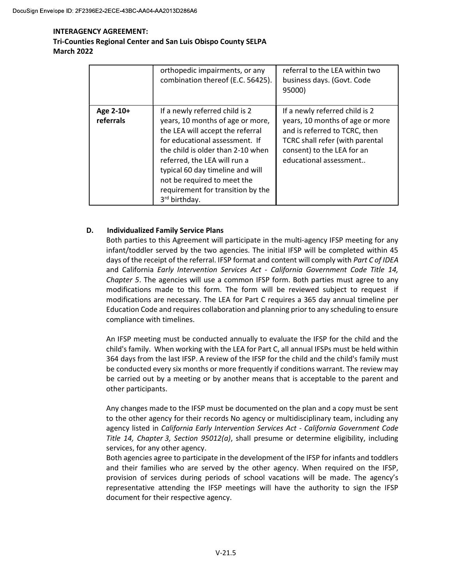# INTERAGENCY AGREEMENT: Tri-Counties Regional Center and San Luis Obispo County SELPA March 2022

|                        | orthopedic impairments, or any<br>combination thereof (E.C. 56425).                                                                                                                                                                                                                                                                                | referral to the LEA within two<br>business days. (Govt. Code<br>95000)                                                                                                                               |
|------------------------|----------------------------------------------------------------------------------------------------------------------------------------------------------------------------------------------------------------------------------------------------------------------------------------------------------------------------------------------------|------------------------------------------------------------------------------------------------------------------------------------------------------------------------------------------------------|
| Age 2-10+<br>referrals | If a newly referred child is 2<br>years, 10 months of age or more,<br>the LEA will accept the referral<br>for educational assessment. If<br>the child is older than 2-10 when<br>referred, the LEA will run a<br>typical 60 day timeline and will<br>not be required to meet the<br>requirement for transition by the<br>3 <sup>rd</sup> birthday. | If a newly referred child is 2<br>years, 10 months of age or more<br>and is referred to TCRC, then<br><b>TCRC</b> shall refer (with parental<br>consent) to the LEA for an<br>educational assessment |

# D. Individualized Family Service Plans

Both parties to this Agreement will participate in the multi-agency IFSP meeting for any infant/toddler served by the two agencies. The initial IFSP will be completed within 45 days of the receipt of the referral. IFSP format and content will comply with Part C of IDEA and California Early Intervention Services Act - California Government Code Title 14, Chapter 5. The agencies will use a common IFSP form. Both parties must agree to any modifications made to this form. The form will be reviewed subject to request if modifications are necessary. The LEA for Part C requires a 365 day annual timeline per Education Code and requires collaboration and planning prior to any scheduling to ensure compliance with timelines.

An IFSP meeting must be conducted annually to evaluate the IFSP for the child and the child's family. When working with the LEA for Part C, all annual IFSPs must be held within 364 days from the last IFSP. A review of the IFSP for the child and the child's family must be conducted every six months or more frequently if conditions warrant. The review may be carried out by a meeting or by another means that is acceptable to the parent and other participants.

Any changes made to the IFSP must be documented on the plan and a copy must be sent to the other agency for their records No agency or multidisciplinary team, including any agency listed in California Early Intervention Services Act - California Government Code Title 14, Chapter 3, Section  $95012(a)$ , shall presume or determine eligibility, including services, for any other agency.

Both agencies agree to participate in the development of the IFSP for infants and toddlers and their families who are served by the other agency. When required on the IFSP, provision of services during periods of school vacations will be made. The agency's representative attending the IFSP meetings will have the authority to sign the IFSP document for their respective agency.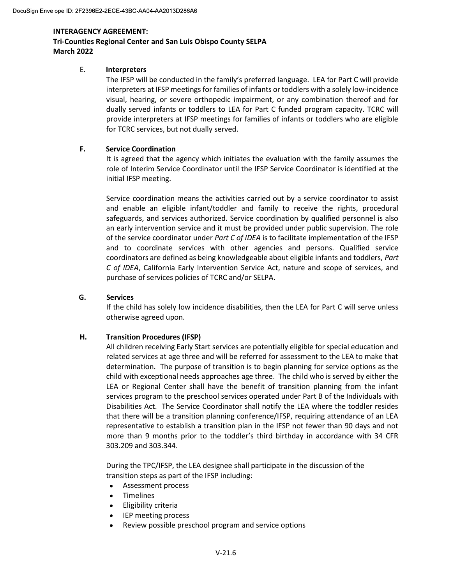## Tri-Counties Regional Center and San Luis Obispo County SELPA March 2022

## E. Interpreters

The IFSP will be conducted in the family's preferred language. LEA for Part C will provide interpreters at IFSP meetings for families of infants or toddlers with a solely low-incidence visual, hearing, or severe orthopedic impairment, or any combination thereof and for dually served infants or toddlers to LEA for Part C funded program capacity. TCRC will provide interpreters at IFSP meetings for families of infants or toddlers who are eligible for TCRC services, but not dually served.

## F. Service Coordination

It is agreed that the agency which initiates the evaluation with the family assumes the role of Interim Service Coordinator until the IFSP Service Coordinator is identified at the initial IFSP meeting.

Service coordination means the activities carried out by a service coordinator to assist and enable an eligible infant/toddler and family to receive the rights, procedural safeguards, and services authorized. Service coordination by qualified personnel is also an early intervention service and it must be provided under public supervision. The role of the service coordinator under Part C of IDEA is to facilitate implementation of the IFSP and to coordinate services with other agencies and persons. Qualified service coordinators are defined as being knowledgeable about eligible infants and toddlers, Part C of IDEA, California Early Intervention Service Act, nature and scope of services, and purchase of services policies of TCRC and/or SELPA.

## G. Services

If the child has solely low incidence disabilities, then the LEA for Part C will serve unless otherwise agreed upon.

# H. Transition Procedures (IFSP)

All children receiving Early Start services are potentially eligible for special education and related services at age three and will be referred for assessment to the LEA to make that determination. The purpose of transition is to begin planning for service options as the child with exceptional needs approaches age three. The child who is served by either the LEA or Regional Center shall have the benefit of transition planning from the infant services program to the preschool services operated under Part B of the Individuals with Disabilities Act. The Service Coordinator shall notify the LEA where the toddler resides that there will be a transition planning conference/IFSP, requiring attendance of an LEA representative to establish a transition plan in the IFSP not fewer than 90 days and not more than 9 months prior to the toddler's third birthday in accordance with 34 CFR 303.209 and 303.344.

During the TPC/IFSP, the LEA designee shall participate in the discussion of the transition steps as part of the IFSP including:

- $\bullet$ Assessment process
- Timelines
- Eligibility criteria
- IEP meeting process
- Review possible preschool program and service options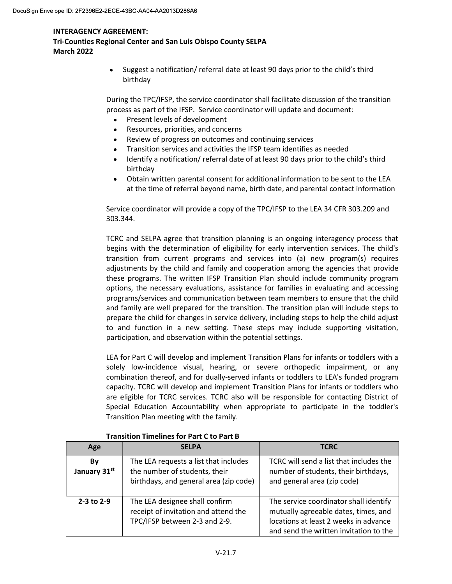Tri-Counties Regional Center and San Luis Obispo County SELPA March 2022

> Suggest a notification/ referral date at least 90 days prior to the child's third  $\bullet$ birthday

During the TPC/IFSP, the service coordinator shall facilitate discussion of the transition process as part of the IFSP. Service coordinator will update and document:

- Present levels of development
- Resources, priorities, and concerns
- Review of progress on outcomes and continuing services  $\bullet$
- Transition services and activities the IFSP team identifies as needed
- Identify a notification/ referral date of at least 90 days prior to the child's third birthday
- Obtain written parental consent for additional information to be sent to the LEA at the time of referral beyond name, birth date, and parental contact information

Service coordinator will provide a copy of the TPC/IFSP to the LEA 34 CFR 303.209 and 303.344.

TCRC and SELPA agree that transition planning is an ongoing interagency process that begins with the determination of eligibility for early intervention services. The child's transition from current programs and services into (a) new program(s) requires adjustments by the child and family and cooperation among the agencies that provide these programs. The written IFSP Transition Plan should include community program options, the necessary evaluations, assistance for families in evaluating and accessing programs/services and communication between team members to ensure that the child and family are well prepared for the transition. The transition plan will include steps to prepare the child for changes in service delivery, including steps to help the child adjust to and function in a new setting. These steps may include supporting visitation, participation, and observation within the potential settings.

LEA for Part C will develop and implement Transition Plans for infants or toddlers with a solely low-incidence visual, hearing, or severe orthopedic impairment, or any combination thereof, and for dually-served infants or toddlers to LEA's funded program capacity. TCRC will develop and implement Transition Plans for infants or toddlers who are eligible for TCRC services. TCRC also will be responsible for contacting District of Special Education Accountability when appropriate to participate in the toddler's Transition Plan meeting with the family.

| Age                | <b>SELPA</b>                                                                                                     | <b>TCRC</b>                                                                                                                                                       |
|--------------------|------------------------------------------------------------------------------------------------------------------|-------------------------------------------------------------------------------------------------------------------------------------------------------------------|
| Bν<br>January 31st | The LEA requests a list that includes<br>the number of students, their<br>birthdays, and general area (zip code) | TCRC will send a list that includes the<br>number of students, their birthdays,<br>and general area (zip code)                                                    |
| 2-3 to 2-9         | The LEA designee shall confirm<br>receipt of invitation and attend the<br>TPC/IFSP between 2-3 and 2-9.          | The service coordinator shall identify<br>mutually agreeable dates, times, and<br>locations at least 2 weeks in advance<br>and send the written invitation to the |

#### Transition Timelines for Part C to Part B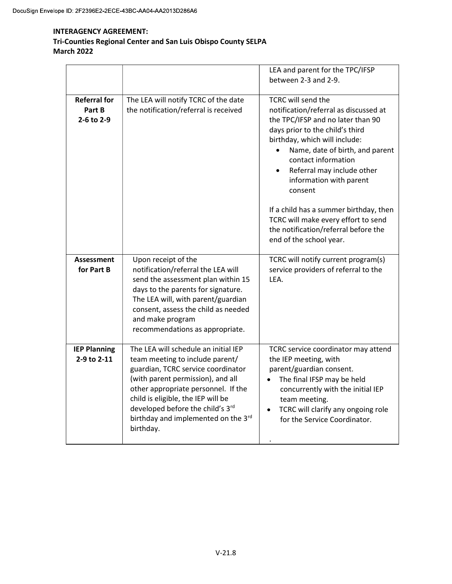# INTERAGENCY AGREEMENT: Tri-Counties Regional Center and San Luis Obispo County SELPA March 2022

|                                             |                                                                                                                                                                                                                                                                                                                         | LEA and parent for the TPC/IFSP<br>between 2-3 and 2-9.                                                                                                                                                                                                                                                                                                                                                                                                                                 |
|---------------------------------------------|-------------------------------------------------------------------------------------------------------------------------------------------------------------------------------------------------------------------------------------------------------------------------------------------------------------------------|-----------------------------------------------------------------------------------------------------------------------------------------------------------------------------------------------------------------------------------------------------------------------------------------------------------------------------------------------------------------------------------------------------------------------------------------------------------------------------------------|
| <b>Referral for</b><br>Part B<br>2-6 to 2-9 | The LEA will notify TCRC of the date<br>the notification/referral is received                                                                                                                                                                                                                                           | <b>TCRC will send the</b><br>notification/referral as discussed at<br>the TPC/IFSP and no later than 90<br>days prior to the child's third<br>birthday, which will include:<br>Name, date of birth, and parent<br>$\bullet$<br>contact information<br>Referral may include other<br>$\bullet$<br>information with parent<br>consent<br>If a child has a summer birthday, then<br>TCRC will make every effort to send<br>the notification/referral before the<br>end of the school year. |
| <b>Assessment</b><br>for Part B             | Upon receipt of the<br>notification/referral the LEA will<br>send the assessment plan within 15<br>days to the parents for signature.<br>The LEA will, with parent/guardian<br>consent, assess the child as needed<br>and make program<br>recommendations as appropriate.                                               | TCRC will notify current program(s)<br>service providers of referral to the<br>LEA.                                                                                                                                                                                                                                                                                                                                                                                                     |
| <b>IEP Planning</b><br>2-9 to 2-11          | The LEA will schedule an initial IEP<br>team meeting to include parent/<br>guardian, TCRC service coordinator<br>(with parent permission), and all<br>other appropriate personnel. If the<br>child is eligible, the IEP will be<br>developed before the child's 3rd<br>birthday and implemented on the 3rd<br>birthday. | TCRC service coordinator may attend<br>the IEP meeting, with<br>parent/guardian consent.<br>The final IFSP may be held<br>concurrently with the initial IEP<br>team meeting.<br>TCRC will clarify any ongoing role<br>for the Service Coordinator.                                                                                                                                                                                                                                      |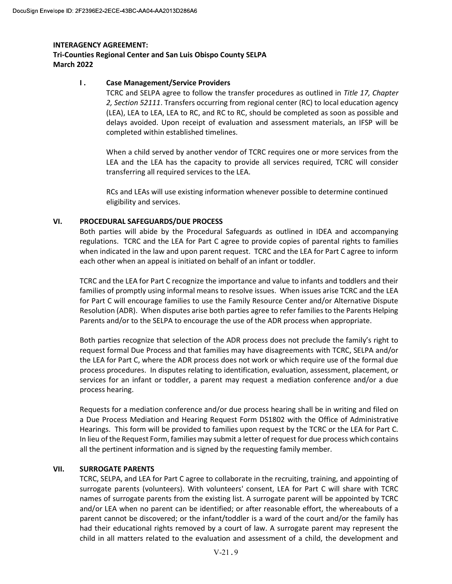# Tri-Counties Regional Center and San Luis Obispo County SELPA March 2022

## **I.** Case Management/Service Providers

TCRC and SELPA agree to follow the transfer procedures as outlined in Title 17, Chapter 2, Section 52111. Transfers occurring from regional center (RC) to local education agency (LEA), LEA to LEA, LEA to RC, and RC to RC, should be completed as soon as possible and delays avoided. Upon receipt of evaluation and assessment materials, an IFSP will be completed within established timelines.

When a child served by another vendor of TCRC requires one or more services from the LEA and the LEA has the capacity to provide all services required, TCRC will consider transferring all required services to the LEA.

 RCs and LEAs will use existing information whenever possible to determine continued eligibility and services.

## VI. PROCEDURAL SAFEGUARDS/DUE PROCESS

Both parties will abide by the Procedural Safeguards as outlined in IDEA and accompanying regulations. TCRC and the LEA for Part C agree to provide copies of parental rights to families when indicated in the law and upon parent request. TCRC and the LEA for Part C agree to inform each other when an appeal is initiated on behalf of an infant or toddler.

TCRC and the LEA for Part C recognize the importance and value to infants and toddlers and their families of promptly using informal means to resolve issues. When issues arise TCRC and the LEA for Part C will encourage families to use the Family Resource Center and/or Alternative Dispute Resolution (ADR). When disputes arise both parties agree to refer families to the Parents Helping Parents and/or to the SELPA to encourage the use of the ADR process when appropriate.

Both parties recognize that selection of the ADR process does not preclude the family's right to request formal Due Process and that families may have disagreements with TCRC, SELPA and/or the LEA for Part C, where the ADR process does not work or which require use of the formal due process procedures. In disputes relating to identification, evaluation, assessment, placement, or services for an infant or toddler, a parent may request a mediation conference and/or a due process hearing.

Requests for a mediation conference and/or due process hearing shall be in writing and filed on a Due Process Mediation and Hearing Request Form DS1802 with the Office of Administrative Hearings. This form will be provided to families upon request by the TCRC or the LEA for Part C. In lieu of the Request Form, families may submit a letter of request for due process which contains all the pertinent information and is signed by the requesting family member.

## VII. SURROGATE PARENTS

TCRC, SELPA, and LEA for Part C agree to collaborate in the recruiting, training, and appointing of surrogate parents (volunteers). With volunteers' consent, LEA for Part C will share with TCRC names of surrogate parents from the existing list. A surrogate parent will be appointed by TCRC and/or LEA when no parent can be identified; or after reasonable effort, the whereabouts of a parent cannot be discovered; or the infant/toddler is a ward of the court and/or the family has had their educational rights removed by a court of law. A surrogate parent may represent the child in all matters related to the evaluation and assessment of a child, the development and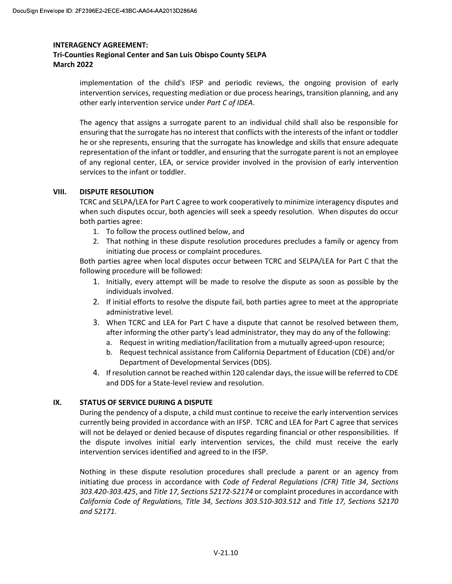# Tri-Counties Regional Center and San Luis Obispo County SELPA March 2022

implementation of the child's IFSP and periodic reviews, the ongoing provision of early intervention services, requesting mediation or due process hearings, transition planning, and any other early intervention service under Part C of IDEA.

The agency that assigns a surrogate parent to an individual child shall also be responsible for ensuring that the surrogate has no interest that conflicts with the interests of the infant or toddler he or she represents, ensuring that the surrogate has knowledge and skills that ensure adequate representation of the infant or toddler, and ensuring that the surrogate parent is not an employee of any regional center, LEA, or service provider involved in the provision of early intervention services to the infant or toddler.

## VIII. DISPUTE RESOLUTION

TCRC and SELPA/LEA for Part C agree to work cooperatively to minimize interagency disputes and when such disputes occur, both agencies will seek a speedy resolution. When disputes do occur both parties agree:

- 1. To follow the process outlined below, and
- 2. That nothing in these dispute resolution procedures precludes a family or agency from initiating due process or complaint procedures.

Both parties agree when local disputes occur between TCRC and SELPA/LEA for Part C that the following procedure will be followed:

- 1. Initially, every attempt will be made to resolve the dispute as soon as possible by the individuals involved.
- 2. If initial efforts to resolve the dispute fail, both parties agree to meet at the appropriate administrative level.
- 3. When TCRC and LEA for Part C have a dispute that cannot be resolved between them, after informing the other party's lead administrator, they may do any of the following:
	- a. Request in writing mediation/facilitation from a mutually agreed-upon resource;
	- b. Request technical assistance from California Department of Education (CDE) and/or Department of Developmental Services (DDS).
- 4. If resolution cannot be reached within 120 calendar days, the issue will be referred to CDE and DDS for a State-level review and resolution.

## IX. STATUS OF SERVICE DURING A DISPUTE

During the pendency of a dispute, a child must continue to receive the early intervention services currently being provided in accordance with an IFSP. TCRC and LEA for Part C agree that services will not be delayed or denied because of disputes regarding financial or other responsibilities. If the dispute involves initial early intervention services, the child must receive the early intervention services identified and agreed to in the IFSP.

Nothing in these dispute resolution procedures shall preclude a parent or an agency from initiating due process in accordance with Code of Federal Regulations (CFR) Title 34, Sections 303.420-303.425, and Title 17, Sections 52172-52174 or complaint procedures in accordance with California Code of Regulations, Title 34, Sections 303.510-303.512 and Title 17, Sections 52170 and 52171.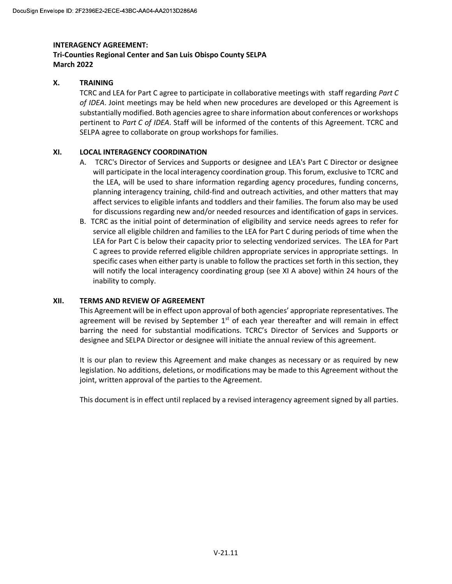# Tri-Counties Regional Center and San Luis Obispo County SELPA March 2022

# X. TRAINING

TCRC and LEA for Part C agree to participate in collaborative meetings with staff regarding Part C of IDEA. Joint meetings may be held when new procedures are developed or this Agreement is substantially modified. Both agencies agree to share information about conferences or workshops pertinent to Part C of IDEA. Staff will be informed of the contents of this Agreement. TCRC and SELPA agree to collaborate on group workshops for families.

# XI. LOCAL INTERAGENCY COORDINATION

- A. TCRC's Director of Services and Supports or designee and LEA's Part C Director or designee will participate in the local interagency coordination group. This forum, exclusive to TCRC and the LEA, will be used to share information regarding agency procedures, funding concerns, planning interagency training, child-find and outreach activities, and other matters that may affect services to eligible infants and toddlers and their families. The forum also may be used for discussions regarding new and/or needed resources and identification of gaps in services.
- B. TCRC as the initial point of determination of eligibility and service needs agrees to refer for service all eligible children and families to the LEA for Part C during periods of time when the LEA for Part C is below their capacity prior to selecting vendorized services. The LEA for Part C agrees to provide referred eligible children appropriate services in appropriate settings. In specific cases when either party is unable to follow the practices set forth in this section, they will notify the local interagency coordinating group (see XI A above) within 24 hours of the inability to comply.

# XII. TERMS AND REVIEW OF AGREEMENT

This Agreement will be in effect upon approval of both agencies' appropriate representatives. The agreement will be revised by September  $1<sup>st</sup>$  of each year thereafter and will remain in effect barring the need for substantial modifications. TCRC's Director of Services and Supports or designee and SELPA Director or designee will initiate the annual review of this agreement.

It is our plan to review this Agreement and make changes as necessary or as required by new legislation. No additions, deletions, or modifications may be made to this Agreement without the joint, written approval of the parties to the Agreement.

This document is in effect until replaced by a revised interagency agreement signed by all parties.